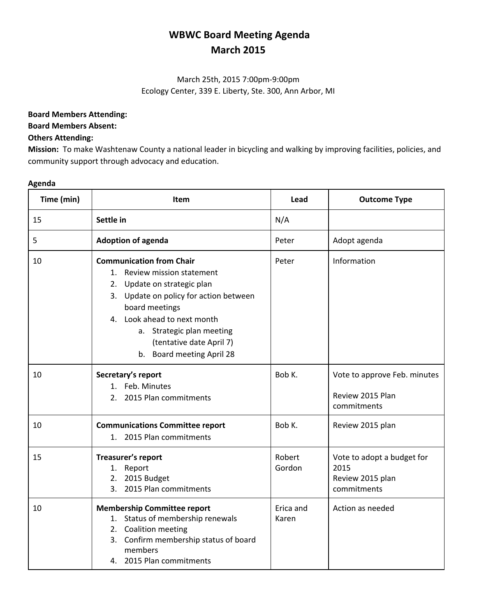# **WBWC Board Meeting Agenda March 2015**

### March 25th, 2015 7:00pm-9:00pm Ecology Center, 339 E. Liberty, Ste. 300, Ann Arbor, MI

#### **Board Members Attending:**

#### **Board Members Absent:**

#### **Others Attending:**

**Mission:** To make Washtenaw County a national leader in bicycling and walking by improving facilities, policies, and community support through advocacy and education.

#### **Agenda**

| Time (min) | Item                                                                                                                                                                                                                                                                           | Lead               | <b>Outcome Type</b>                                                   |
|------------|--------------------------------------------------------------------------------------------------------------------------------------------------------------------------------------------------------------------------------------------------------------------------------|--------------------|-----------------------------------------------------------------------|
| 15         | Settle in                                                                                                                                                                                                                                                                      | N/A                |                                                                       |
| 5          | <b>Adoption of agenda</b>                                                                                                                                                                                                                                                      | Peter              | Adopt agenda                                                          |
| 10         | <b>Communication from Chair</b><br>1. Review mission statement<br>2. Update on strategic plan<br>3. Update on policy for action between<br>board meetings<br>4. Look ahead to next month<br>a. Strategic plan meeting<br>(tentative date April 7)<br>b. Board meeting April 28 | Peter              | Information                                                           |
| 10         | Secretary's report<br>1. Feb. Minutes<br>2. 2015 Plan commitments                                                                                                                                                                                                              | Bob K.             | Vote to approve Feb. minutes<br>Review 2015 Plan<br>commitments       |
| 10         | <b>Communications Committee report</b><br>2015 Plan commitments<br>$1_{\cdot}$                                                                                                                                                                                                 | Bob K.             | Review 2015 plan                                                      |
| 15         | Treasurer's report<br>1. Report<br>2. 2015 Budget<br>3. 2015 Plan commitments                                                                                                                                                                                                  | Robert<br>Gordon   | Vote to adopt a budget for<br>2015<br>Review 2015 plan<br>commitments |
| 10         | <b>Membership Committee report</b><br>1. Status of membership renewals<br>2. Coalition meeting<br>3. Confirm membership status of board<br>members<br>4. 2015 Plan commitments                                                                                                 | Erica and<br>Karen | Action as needed                                                      |